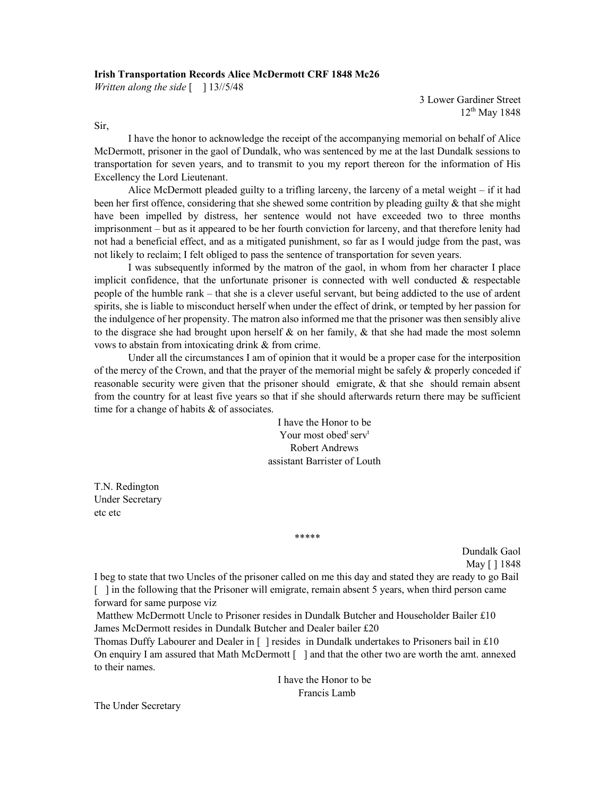## Irish Transportation Records Alice McDermott CRF 1848 Mc26

Written along the side  $\lceil \quad \rceil$  13//5/48

3 Lower Gardiner Street 12<sup>th</sup> May 1848

Sir,

I have the honor to acknowledge the receipt of the accompanying memorial on behalf of Alice McDermott, prisoner in the gaol of Dundalk, who was sentenced by me at the last Dundalk sessions to transportation for seven years, and to transmit to you my report thereon for the information of His Excellency the Lord Lieutenant.

Alice McDermott pleaded guilty to a trifling larceny, the larceny of a metal weight – if it had been her first offence, considering that she shewed some contrition by pleading guilty & that she might have been impelled by distress, her sentence would not have exceeded two to three months imprisonment – but as it appeared to be her fourth conviction for larceny, and that therefore lenity had not had a beneficial effect, and as a mitigated punishment, so far as I would judge from the past, was not likely to reclaim; I felt obliged to pass the sentence of transportation for seven years.

I was subsequently informed by the matron of the gaol, in whom from her character I place implicit confidence, that the unfortunate prisoner is connected with well conducted  $\&$  respectable people of the humble rank – that she is a clever useful servant, but being addicted to the use of ardent spirits, she is liable to misconduct herself when under the effect of drink, or tempted by her passion for the indulgence of her propensity. The matron also informed me that the prisoner was then sensibly alive to the disgrace she had brought upon herself  $\&$  on her family,  $\&$  that she had made the most solemn vows to abstain from intoxicating drink & from crime.

Under all the circumstances I am of opinion that it would be a proper case for the interposition of the mercy of the Crown, and that the prayer of the memorial might be safely & properly conceded if reasonable security were given that the prisoner should emigrate, & that she should remain absent from the country for at least five years so that if she should afterwards return there may be sufficient time for a change of habits & of associates.

> I have the Honor to be Your most obed serv<sup>t</sup> Robert Andrews assistant Barrister of Louth

T.N. Redington Under Secretary etc etc

\*\*\*\*\*

Dundalk Gaol May [ ] 1848

I beg to state that two Uncles of the prisoner called on me this day and stated they are ready to go Bail [ ] in the following that the Prisoner will emigrate, remain absent 5 years, when third person came forward for same purpose viz

 Matthew McDermott Uncle to Prisoner resides in Dundalk Butcher and Householder Bailer £10 James McDermott resides in Dundalk Butcher and Dealer bailer £20

Thomas Duffy Labourer and Dealer in [ ] resides in Dundalk undertakes to Prisoners bail in £10 On enquiry I am assured that Math McDermott [ ] and that the other two are worth the amt. annexed to their names.

> I have the Honor to be Francis Lamb

The Under Secretary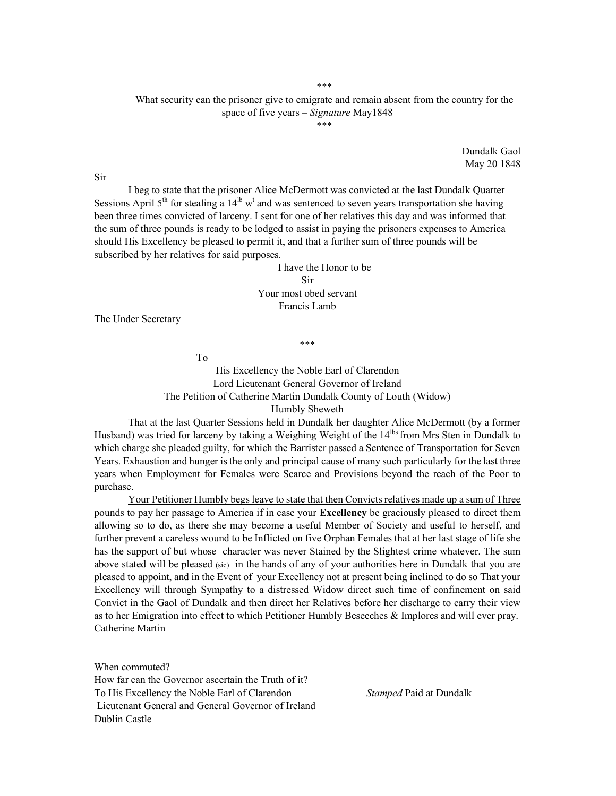\*\*\*

## What security can the prisoner give to emigrate and remain absent from the country for the space of five years – Signature May1848 \*\*\*

Dundalk Gaol May 20 1848

 I beg to state that the prisoner Alice McDermott was convicted at the last Dundalk Quarter Sessions April  $5<sup>th</sup>$  for stealing a  $14<sup>lb</sup>$  w<sup>t</sup> and was sentenced to seven years transportation she having been three times convicted of larceny. I sent for one of her relatives this day and was informed that the sum of three pounds is ready to be lodged to assist in paying the prisoners expenses to America should His Excellency be pleased to permit it, and that a further sum of three pounds will be subscribed by her relatives for said purposes.

> I have the Honor to be Sir Your most obed servant Francis Lamb

The Under Secretary

His Excellency the Noble Earl of Clarendon Lord Lieutenant General Governor of Ireland The Petition of Catherine Martin Dundalk County of Louth (Widow) Humbly Sheweth

\*\*\*

 That at the last Quarter Sessions held in Dundalk her daughter Alice McDermott (by a former Husband) was tried for larceny by taking a Weighing Weight of the 14<sup>ths</sup> from Mrs Sten in Dundalk to which charge she pleaded guilty, for which the Barrister passed a Sentence of Transportation for Seven Years. Exhaustion and hunger is the only and principal cause of many such particularly for the last three years when Employment for Females were Scarce and Provisions beyond the reach of the Poor to purchase.

 Your Petitioner Humbly begs leave to state that then Convicts relatives made up a sum of Three pounds to pay her passage to America if in case your **Excellency** be graciously pleased to direct them allowing so to do, as there she may become a useful Member of Society and useful to herself, and further prevent a careless wound to be Inflicted on five Orphan Females that at her last stage of life she has the support of but whose character was never Stained by the Slightest crime whatever. The sum above stated will be pleased (sic) in the hands of any of your authorities here in Dundalk that you are pleased to appoint, and in the Event of your Excellency not at present being inclined to do so That your Excellency will through Sympathy to a distressed Widow direct such time of confinement on said Convict in the Gaol of Dundalk and then direct her Relatives before her discharge to carry their view as to her Emigration into effect to which Petitioner Humbly Beseeches & Implores and will ever pray. Catherine Martin

When commuted? How far can the Governor ascertain the Truth of it? To His Excellency the Noble Earl of Clarendon Stamped Paid at Dundalk Lieutenant General and General Governor of Ireland Dublin Castle

To

Sir